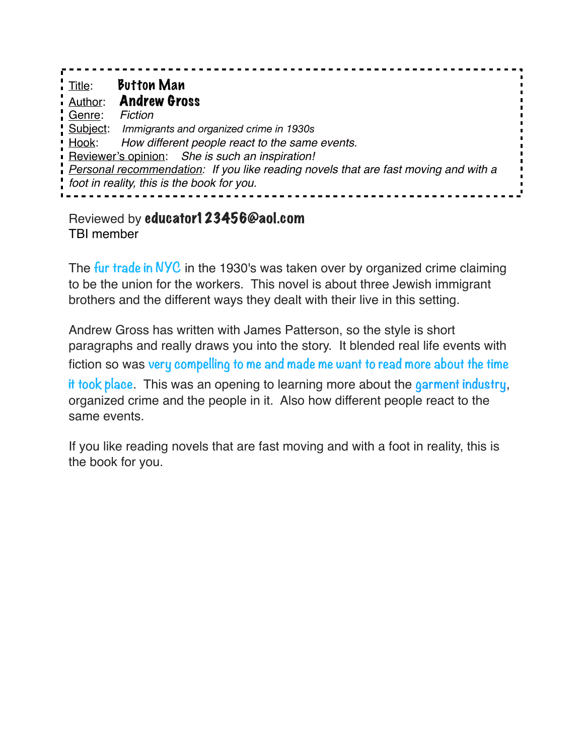| i Title:                                                                            | <b>Button Man</b>                                |
|-------------------------------------------------------------------------------------|--------------------------------------------------|
|                                                                                     | <b>Author: Andrew Gross</b>                      |
| Genre:                                                                              | Fiction                                          |
|                                                                                     | Subject: Immigrants and organized crime in 1930s |
| Hook:                                                                               | How different people react to the same events.   |
|                                                                                     | Reviewer's opinion: She is such an inspiration!  |
| Personal recommendation: If you like reading novels that are fast moving and with a |                                                  |
| foot in reality, this is the book for you.                                          |                                                  |

Reviewed by educator123456@aol.com TBI member

The **fur trade in NYC** in the 1930's was taken over by organized crime claiming to be the union for the workers. This novel is about three Jewish immigrant brothers and the different ways they dealt with their live in this setting.

Andrew Gross has written with James Patterson, so the style is short paragraphs and really draws you into the story. It blended real life events with fiction so was **very compelling to me and made me want to read more about the time it took place**. This was an opening to learning more about the **garment industry**, organized crime and the people in it. Also how different people react to the same events.

If you like reading novels that are fast moving and with a foot in reality, this is the book for you.